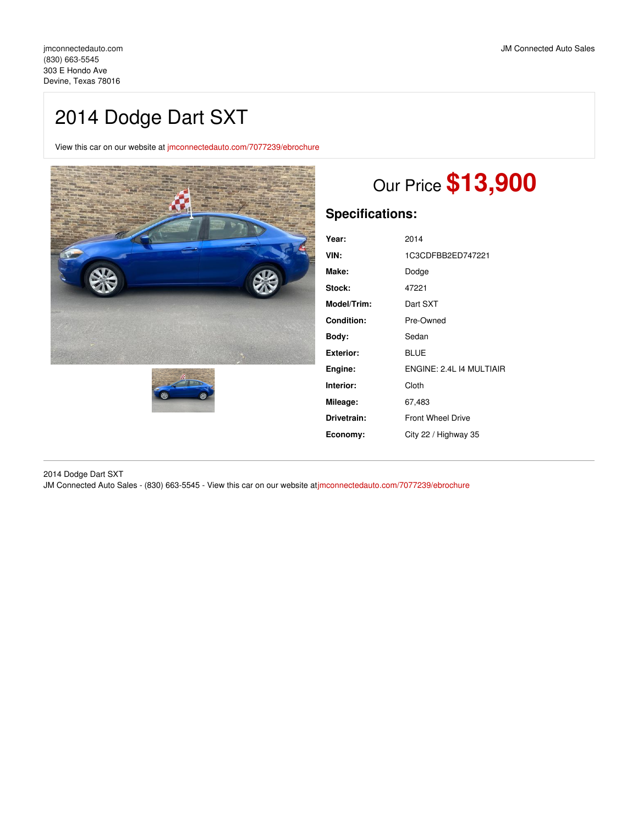# 2014 Dodge Dart SXT

View this car on our website at [jmconnectedauto.com/7077239/ebrochure](https://jmconnectedauto.com/vehicle/7077239/2014-dodge-dart-sxt-devine-texas-78016/7077239/ebrochure)





# Our Price **\$13,900**

# **Specifications:**

| Year:              | 2014                     |
|--------------------|--------------------------|
| VIN:               | 1C3CDFBB2ED747221        |
| Make:              | Dodge                    |
| Stock:             | 47221                    |
| <b>Model/Trim:</b> | Dart SXT                 |
| Condition:         | Pre-Owned                |
| Body:              | Sedan                    |
| Exterior:          | BLUE                     |
| Engine:            | ENGINE: 2.4L 14 MULTIAIR |
| Interior:          | Cloth                    |
| Mileage:           | 67,483                   |
| Drivetrain:        | <b>Front Wheel Drive</b> |
| Economy:           | City 22 / Highway 35     |

2014 Dodge Dart SXT

JM Connected Auto Sales - (830) 663-5545 - View this car on our website a[tjmconnectedauto.com/7077239/ebrochure](https://jmconnectedauto.com/vehicle/7077239/2014-dodge-dart-sxt-devine-texas-78016/7077239/ebrochure)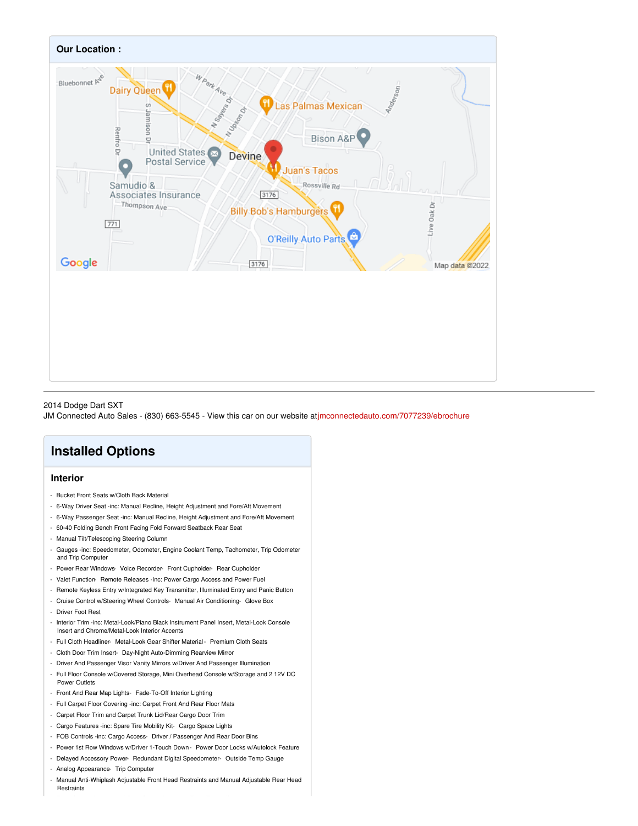

#### 2014 Dodge Dart SXT

JM Connected Auto Sales - (830) 663-5545 - View this car on our website a[tjmconnectedauto.com/7077239/ebrochure](https://jmconnectedauto.com/vehicle/7077239/2014-dodge-dart-sxt-devine-texas-78016/7077239/ebrochure)

## **Installed Options**

### **Interior**

- Bucket Front Seats w/Cloth Back Material
- 6-Way Driver Seat -inc: Manual Recline, Height Adjustment and Fore/Aft Movement
- 6-Way Passenger Seat -inc: Manual Recline, Height Adjustment and Fore/Aft Movement
- 60-40 Folding Bench Front Facing Fold Forward Seatback Rear Seat
- Manual Tilt/Telescoping Steering Column
- Gauges -inc: Speedometer, Odometer, Engine Coolant Temp, Tachometer, Trip Odometer and Trip Computer
- Power Rear Windows- Voice Recorder- Front Cupholder- Rear Cupholder
- Valet Function- Remote Releases -Inc: Power Cargo Access and Power Fuel
- Remote Keyless Entry w/Integrated Key Transmitter, Illuminated Entry and Panic Button
- Cruise Control w/Steering Wheel Controls- Manual Air Conditioning- Glove Box
- Driver Foot Rest
- Interior Trim -inc: Metal-Look/Piano Black Instrument Panel Insert, Metal-Look Console Insert and Chrome/Metal-Look Interior Accents
- Full Cloth Headliner- Metal-Look Gear Shifter Material- Premium Cloth Seats
- Cloth Door Trim Insert- Day-Night Auto-Dimming Rearview Mirror
- Driver And Passenger Visor Vanity Mirrors w/Driver And Passenger Illumination
- Full Floor Console w/Covered Storage, Mini Overhead Console w/Storage and 2 12V DC Power Outlets
- Front And Rear Map Lights- Fade-To-Off Interior Lighting
- Full Carpet Floor Covering -inc: Carpet Front And Rear Floor Mats
- Carpet Floor Trim and Carpet Trunk Lid/Rear Cargo Door Trim
- Cargo Features -inc: Spare Tire Mobility Kit- Cargo Space Lights
- FOB Controls -inc: Cargo Access- Driver / Passenger And Rear Door Bins
- Power 1st Row Windows w/Driver 1-Touch Down Power Door Locks w/Autolock Feature
- Delayed Accessory Power- Redundant Digital Speedometer- Outside Temp Gauge
- Analog Appearance- Trip Computer
- Manual Anti-Whiplash Adjustable Front Head Restraints and Manual Adjustable Rear Head Restraints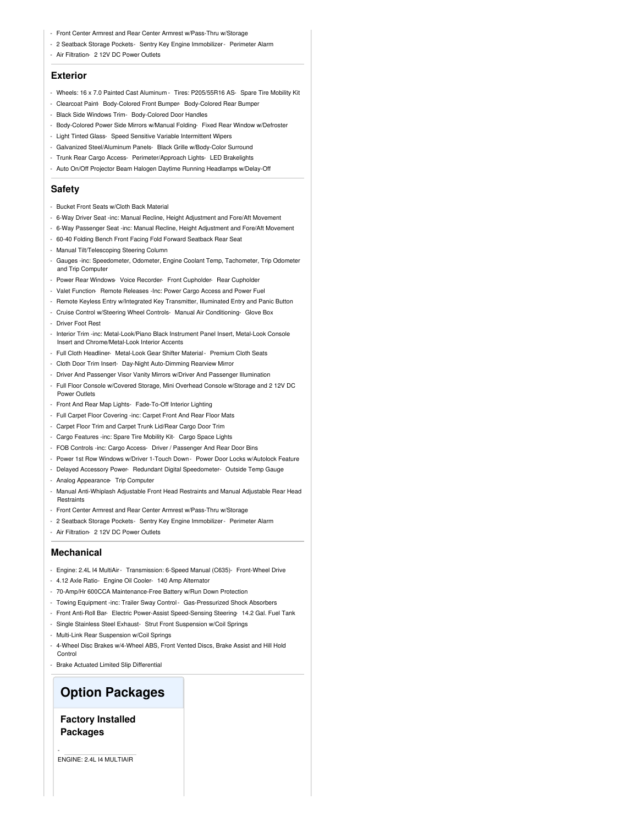- Front Center Armrest and Rear Center Armrest w/Pass-Thru w/Storage
- 2 Seatback Storage Pockets- Sentry Key Engine Immobilizer- Perimeter Alarm
- Air Filtration- 2 12V DC Power Outlets

### **Exterior**

- Wheels: 16 x 7.0 Painted Cast Aluminum Tires: P205/55R16 AS- Spare Tire Mobility Kit
- Clearcoat Paint- Body-Colored Front Bumper- Body-Colored Rear Bumper
- Black Side Windows Trim- Body-Colored Door Handles
- Body-Colored Power Side Mirrors w/Manual Folding- Fixed Rear Window w/Defroster
- Light Tinted Glass- Speed Sensitive Variable Intermittent Wipers
- Galvanized Steel/Aluminum Panels- Black Grille w/Body-Color Surround
- Trunk Rear Cargo Access- Perimeter/Approach Lights- LED Brakelights
- Auto On/Off Projector Beam Halogen Daytime Running Headlamps w/Delay-Off

#### **Safety**

- Bucket Front Seats w/Cloth Back Material
- 6-Way Driver Seat -inc: Manual Recline, Height Adjustment and Fore/Aft Movement
- 6-Way Passenger Seat -inc: Manual Recline, Height Adjustment and Fore/Aft Movement
- 60-40 Folding Bench Front Facing Fold Forward Seatback Rear Seat
- Manual Tilt/Telescoping Steering Column
- Gauges -inc: Speedometer, Odometer, Engine Coolant Temp, Tachometer, Trip Odometer and Trip Computer
- Power Rear Windows- Voice Recorder- Front Cupholder- Rear Cupholder
- Valet Function- Remote Releases -Inc: Power Cargo Access and Power Fuel
- Remote Keyless Entry w/Integrated Key Transmitter, Illuminated Entry and Panic Button
- Cruise Control w/Steering Wheel Controls- Manual Air Conditioning- Glove Box - Driver Foot Rest
- Interior Trim -inc: Metal-Look/Piano Black Instrument Panel Insert, Metal-Look Console Insert and Chrome/Metal-Look Interior Accents
- Full Cloth Headliner- Metal-Look Gear Shifter Material- Premium Cloth Seats
- Cloth Door Trim Insert- Day-Night Auto-Dimming Rearview Mirror
- Driver And Passenger Visor Vanity Mirrors w/Driver And Passenger Illumination
- Full Floor Console w/Covered Storage, Mini Overhead Console w/Storage and 2 12V DC Power Outlets
- Front And Rear Map Lights- Fade-To-Off Interior Lighting
- Full Carpet Floor Covering -inc: Carpet Front And Rear Floor Mats
- Carpet Floor Trim and Carpet Trunk Lid/Rear Cargo Door Trim
- Cargo Features -inc: Spare Tire Mobility Kit- Cargo Space Lights
- FOB Controls -inc: Cargo Access- Driver / Passenger And Rear Door Bins
- Power 1st Row Windows w/Driver 1-Touch Down Power Door Locks w/Autolock Feature
- Delayed Accessory Power- Redundant Digital Speedometer- Outside Temp Gauge
- Analog Appearance- Trip Computer
- Manual Anti-Whiplash Adjustable Front Head Restraints and Manual Adjustable Rear Head **Restraints**
- Front Center Armrest and Rear Center Armrest w/Pass-Thru w/Storage
- 2 Seatback Storage Pockets- Sentry Key Engine Immobilizer Perimeter Alarm
- Air Filtration- 2 12V DC Power Outlets

#### **Mechanical**

- Engine: 2.4L I4 MultiAir- Transmission: 6-Speed Manual (C635)- Front-Wheel Drive
- 4.12 Axle Ratio- Engine Oil Cooler- 140 Amp Alternator
- 70-Amp/Hr 600CCA Maintenance-Free Battery w/Run Down Protection
- Towing Equipment -inc: Trailer Sway Control- Gas-Pressurized Shock Absorbers
- Front Anti-Roll Bar- Electric Power-Assist Speed-Sensing Steering- 14.2 Gal. Fuel Tank
- Single Stainless Steel Exhaust- Strut Front Suspension w/Coil Springs
- Multi-Link Rear Suspension w/Coil Springs
- 4-Wheel Disc Brakes w/4-Wheel ABS, Front Vented Discs, Brake Assist and Hill Hold **Control**
- Brake Actuated Limited Slip Differential

## **Option Packages**

**Factory Installed Packages**

-